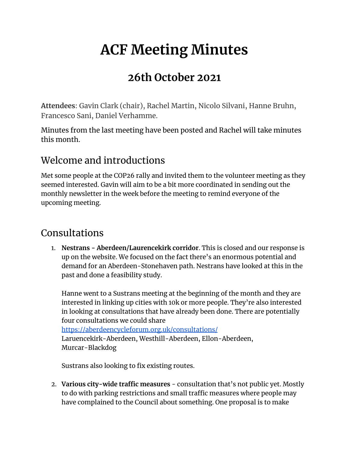# **ACF Meeting Minutes**

# **26th October 2021**

**Attendees**: Gavin Clark (chair), Rachel Martin, Nicolo Silvani, Hanne Bruhn, Francesco Sani, Daniel Verhamme.

Minutes from the last meeting have been posted and Rachel will take minutes this month.

## Welcome and introductions

Met some people at the COP26 rally and invited them to the volunteer meeting as they seemed interested. Gavin will aim to be a bit more coordinated in sending out the monthly newsletter in the week before the meeting to remind everyone of the upcoming meeting.

## Consultations

1. **Nestrans - Aberdeen/Laurencekirk corridor**. This is closed and our response is up on the website. We focused on the fact there's an enormous potential and demand for an Aberdeen-Stonehaven path. Nestrans have looked at this in the past and done a feasibility study.

Hanne went to a Sustrans meeting at the beginning of the month and they are interested in linking up cities with 10k or more people. They're also interested in looking at consultations that have already been done. There are potentially four consultations we could share <https://aberdeencycleforum.org.uk/consultations/>

Laruencekirk-Aberdeen, Westhill-Aberdeen, Ellon-Aberdeen, Murcar-Blackdog

Sustrans also looking to fix existing routes.

2. **Various city-wide traffic measures** - consultation that's not public yet. Mostly to do with parking restrictions and small traffic measures where people may have complained to the Council about something. One proposal is to make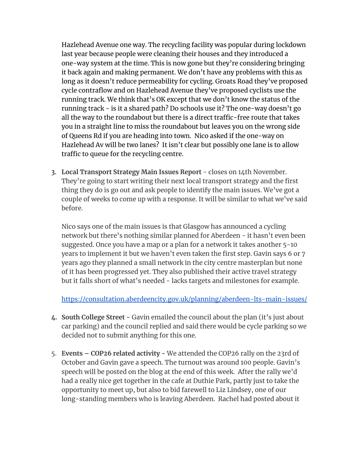Hazlehead Avenue one way. The recycling facility was popular during lockdown last year because people were cleaning their houses and they introduced a one-way system at the time. This is now gone but they're considering bringing it back again and making permanent. We don't have any problems with this as long as it doesn't reduce permeability for cycling. Groats Road they've proposed cycle contraflow and on Hazlehead Avenue they've proposed cyclists use the running track. We think that's OK except that we don't know the status of the running track - is it a shared path? Do schools use it? The one-way doesn't go all the way to the roundabout but there is a direct traffic-free route that takes you in a straight line to miss the roundabout but leaves you on the wrong side of Queens Rd if you are heading into town. Nico asked if the one-way on Hazlehead Av will be two lanes? It isn't clear but possibly one lane is to allow traffic to queue for the recycling centre.

3. **Local Transport Strategy Main Issues Report** - closes on 14th November. They're going to start writing their next local transport strategy and the first thing they do is go out and ask people to identify the main issues. We've got a couple of weeks to come up with a response. It will be similar to what we've said before.

Nico says one of the main issues is that Glasgow has announced a cycling network but there's nothing similar planned for Aberdeen - it hasn't even been suggested. Once you have a map or a plan for a network it takes another 5-10 years to implement it but we haven't even taken the first step. Gavin says 6 or 7 years ago they planned a small network in the city centre masterplan but none of it has been progressed yet. They also published their active travel strategy but it falls short of what's needed - lacks targets and milestones for example.

<https://consultation.aberdeencity.gov.uk/planning/aberdeen-lts-main-issues/>

- **4. South College Street -** Gavin emailed the council about the plan (it's just about car parking) and the council replied and said there would be cycle parking so we decided not to submit anything for this one.
- 5. **Events – COP26 related activity -** We attended the COP26 rally on the 23rd of October and Gavin gave a speech. The turnout was around 100 people. Gavin's speech will be posted on the blog at the end of this week. After the rally we'd had a really nice get together in the cafe at Duthie Park, partly just to take the opportunity to meet up, but also to bid farewell to Liz Lindsey, one of our long-standing members who is leaving Aberdeen. Rachel had posted about it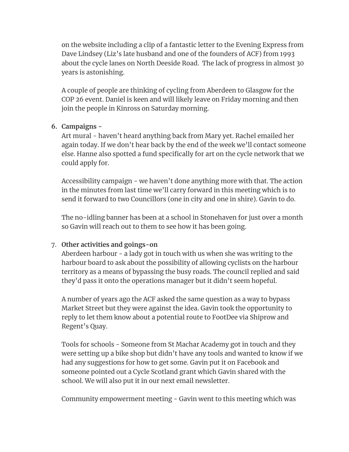on the website including a clip of a fantastic letter to the Evening Express from Dave Lindsey (Liz's late husband and one of the founders of ACF) from 1993 about the cycle lanes on North Deeside Road. The lack of progress in almost 30 years is astonishing.

A couple of people are thinking of cycling from Aberdeen to Glasgow for the COP 26 event. Daniel is keen and will likely leave on Friday morning and then join the people in Kinross on Saturday morning.

### **6. Campaigns -**

Art mural - haven't heard anything back from Mary yet. Rachel emailed her again today. If we don't hear back by the end of the week we'll contact someone else. Hanne also spotted a fund specifically for art on the cycle network that we could apply for.

Accessibility campaign - we haven't done anything more with that. The action in the minutes from last time we'll carry forward in this meeting which is to send it forward to two Councillors (one in city and one in shire). Gavin to do.

The no-idling banner has been at a school in Stonehaven for just over a month so Gavin will reach out to them to see how it has been going.

### 7. **Other activities and goings-on**

Aberdeen harbour - a lady got in touch with us when she was writing to the harbour board to ask about the possibility of allowing cyclists on the harbour territory as a means of bypassing the busy roads. The council replied and said they'd pass it onto the operations manager but it didn't seem hopeful.

A number of years ago the ACF asked the same question as a way to bypass Market Street but they were against the idea. Gavin took the opportunity to reply to let them know about a potential route to FootDee via Shiprow and Regent's Quay.

Tools for schools - Someone from St Machar Academy got in touch and they were setting up a bike shop but didn't have any tools and wanted to know if we had any suggestions for how to get some. Gavin put it on Facebook and someone pointed out a Cycle Scotland grant which Gavin shared with the school. We will also put it in our next email newsletter.

Community empowerment meeting - Gavin went to this meeting which was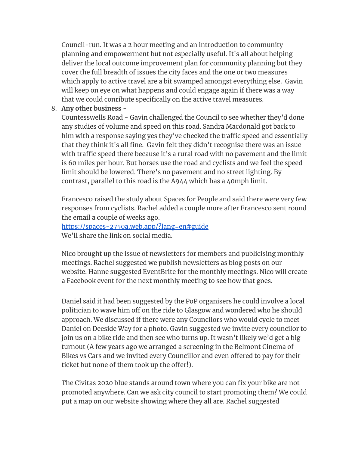Council-run. It was a 2 hour meeting and an introduction to community planning and empowerment but not especially useful. It's all about helping deliver the local outcome improvement plan for community planning but they cover the full breadth of issues the city faces and the one or two measures which apply to active travel are a bit swamped amongst everything else. Gavin will keep on eye on what happens and could engage again if there was a way that we could conribute specifically on the active travel measures.

8. **Any other business** -

Countesswells Road - Gavin challenged the Council to see whether they'd done any studies of volume and speed on this road. Sandra Macdonald got back to him with a response saying yes they've checked the traffic speed and essentially that they think it's all fine. Gavin felt they didn't recognise there was an issue with traffic speed there because it's a rural road with no pavement and the limit is 60 miles per hour. But horses use the road and cyclists and we feel the speed limit should be lowered. There's no pavement and no street lighting. By contrast, parallel to this road is the A944 which has a 40mph limit.

Francesco raised the study about Spaces for People and said there were very few responses from cyclists. Rachel added a couple more after Francesco sent round the email a couple of weeks ago.

<https://spaces-2750a.web.app/?lang=en#guide> We'll share the link on social media.

Nico brought up the issue of newsletters for members and publicising monthly meetings. Rachel suggested we publish newsletters as blog posts on our website. Hanne suggested EventBrite for the monthly meetings. Nico will create a Facebook event for the next monthly meeting to see how that goes.

Daniel said it had been suggested by the PoP organisers he could involve a local politician to wave him off on the ride to Glasgow and wondered who he should approach. We discussed if there were any Councilors who would cycle to meet Daniel on Deeside Way for a photo. Gavin suggested we invite every councilor to join us on a bike ride and then see who turns up. It wasn't likely we'd get a big turnout (A few years ago we arranged a screening in the Belmont Cinema of Bikes vs Cars and we invited every Councillor and even offered to pay for their ticket but none of them took up the offer!).

The Civitas 2020 blue stands around town where you can fix your bike are not promoted anywhere. Can we ask city council to start promoting them? We could put a map on our website showing where they all are. Rachel suggested